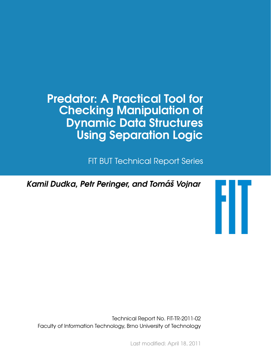# Predator: A Practical Tool for Checking Manipulation of Dynamic Data Structures Using Separation Logic

FIT BUT Technical Report Series

Kamil Dudka, Petr Peringer, and Tomáš Vojnar

Technical Report No. FIT-TR-2011-02 Faculty of Information Technology, Brno University of Technology

Last modified: April 18, 2011

FIT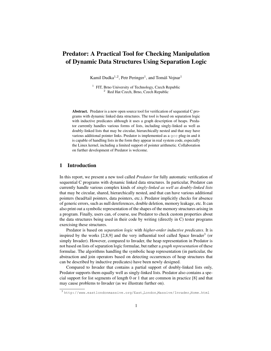## Predator: A Practical Tool for Checking Manipulation of Dynamic Data Structures Using Separation Logic

Kamil Dudka<sup>1,2</sup>, Petr Peringer<sup>1</sup>, and Tomáš Vojnar<sup>1</sup>

<sup>1</sup> FIT, Brno University of Technology, Czech Republic <sup>2</sup> Red Hat Czech, Brno, Czech Republic

Abstract. Predator is a new open source tool for verification of sequential C programs with dynamic linked data structures. The tool is based on separation logic with inductive predicates although it uses a graph description of heaps. Predator currently handles various forms of lists, including singly-linked as well as doubly-linked lists that may be circular, hierarchically nested and that may have various additional pointer links. Predator is implemented as a gcc plug-in and it is capable of handling lists in the form they appear in real system code, especially the Linux kernel, including a limited support of pointer arithmetic. Collaboration on further development of Predator is welcome.

## 1 Introduction

In this report, we present a new tool called *Predator* for fully automatic verification of sequential C programs with dynamic linked data structures. In particular, Predator can currently handle various complex kinds of *singly-linked as well as doubly-linked lists* that may be circular, shared, hierarchically nested, and that can have various additional pointers (head/tail pointers, data pointers, etc.). Predator implicitly checks for absence of generic errors, such as null dereferences, double deletion, memory leakage, etc. It can also print out a symbolic representation of the shapes of the memory structures arising in a program. Finally, users can, of course, use Predator to check custom properties about the data structures being used in their code by writing (directly in C) tester programs exercising these structures.

Predator is based on *separation logic* with *higher-order inductive predicates*. It is inspired by the works  $[2,8,9]$  $[2,8,9]$  $[2,8,9]$  and the very influential tool called Space Invader<sup>[3](#page-2-0)</sup> (or simply Invader). However, compared to Invader, the heap representation in Predator is not based on lists of separation logic formulae, but rather a *graph representation* of these formulae. The algorithms handling the symbolic heap representation (in particular, the abstraction and join operators based on detecting occurrences of heap structures that can be described by inductive predicates) have been newly designed.

Compared to Invader that contains a partial support of doubly-linked lists only, Predator supports them equally well as singly-linked lists. Predator also contains a special support for list segments of length 0 or 1 that are common in practice [\[8\]](#page-8-1) and that may cause problems to Invader (as we illustrate further on).

<span id="page-2-0"></span><sup>3</sup> [http://www.eastlondonmassive.org/East](http://www.eastlondonmassive.org/East_London_Massive/Invader_Home.html) London Massive/Invader Home.html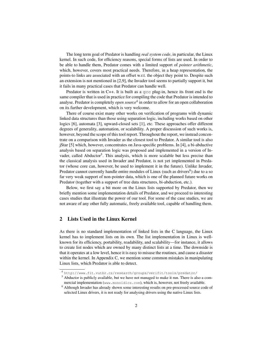The long term goal of Predator is handling *real system code*, in particular, the Linux kernel. In such code, for efficiency reasons, special forms of lists are used. In order to be able to handle them, Predator comes with a limited support of *pointer arithmetic*, which, however, covers most practical needs. Therefore, in a heap representation, the points-to links are associated with an offset w.r.t. the object they point to. Despite such an extension is not mentioned in [\[2](#page-8-0)[,9\]](#page-8-2), the Invader tool seems to partially support it, but it fails in many practical cases that Predator can handle well.

Predator is written in C++. It is built as a gcc plug-in, hence its front end is the same compiler that is used in practice for compiling the code that Predator is intended to analyse. Predator is completely *open source*[4](#page-3-0) in order to allow for an open collaboration on its further development, which is very welcome.

There of course exist many other works on verification of programs with dynamic linked data structures than those using separation logic, including works based on other logics [\[6\]](#page-8-3), automata [\[3\]](#page-8-4), upward-closed sets [\[1\]](#page-8-5), etc. These approaches offer different degrees of generality, automation, or scalability. A proper discussion of such works is, however, beyond the scope of this tool report. Throughout the report, we instead concentrate on a comparison with Invader as the closest tool to Predator. A similar tool is also jStar [\[5\]](#page-8-6) which, however, concentrates on Java-specific problems. In [\[4\]](#page-8-7), a bi-abductive analysis based on separation logic was proposed and implemented in a version of In-vader, called Abductor<sup>[5](#page-3-1)</sup>. This analysis, which is more scalable but less precise than the classical analysis used in Invader and Predator, is not yet implemented in Predator (whose core can, however, be used to implement it in the future). Unlike Invader, Predator cannot currently handle entire modules of Linux (such as drivers<sup>[6](#page-3-2)</sup>) due to a so far very weak support of non-pointer data, which is one of the planned future works on Predator (together with a support of tree data structures, bi-abduction, etc.).

Below, we first say a bit more on the Linux lists supported by Predator, then we briefly mention some implementation details of Predator, and we proceed to interesting cases studies that illustrate the power of our tool. For some of the case studies, we are not aware of any other fully automatic, freely available tool, capable of handling them.

## 2 Lists Used in the Linux Kernel

As there is no standard implementation of linked lists in the C language, the Linux kernel has to implement lists on its own. The list implementation in Linux is wellknown for its efficiency, portability, readability, and scalability—for instance, it allows to create list nodes which are owned by many distinct lists at a time. The downside is that it operates at a low level, hence it is easy to misuse the routines, and cause a disaster within the kernel. In Appendix [C,](#page-18-0) we mention some common mistakes in manipulating Linux lists, which Predator is able to detect.

<span id="page-3-0"></span><sup>4</sup> <http://www.fit.vutbr.cz/research/groups/verifit/tools/predator/>

<span id="page-3-1"></span><sup>&</sup>lt;sup>5</sup> Abductor is publicly available, but we have not managed to make it run. There is also a commercial implementation ([www.monoidics.com](http://www.monoidics.com)), which is, however, not freely available.

<span id="page-3-2"></span><sup>&</sup>lt;sup>6</sup> Although Invader has already shown some interesting results on pre-processed source code of selected Linux drivers, it is not ready for analysing drivers using the native Linux lists.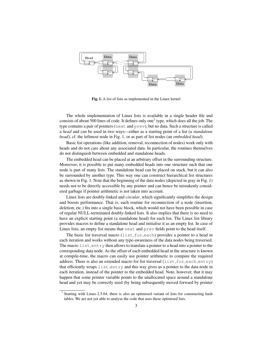

<span id="page-4-1"></span>Fig. 1. A list of lists as implemented in the Linux kernel

The whole implementation of Linux lists is available in a single header file and consists of about 500 lines of code. It defines only one<sup>[7](#page-4-0)</sup> type, which does all the job. The type contains a pair of pointers (next and prev), but no data. Such a structure is called a *head* and can be used in two ways—either as a starting point of a list (a *standalone head*), cf. the leftmost node in Fig. [1,](#page-4-1) or as part of list nodes (an *embedded head*).

Basic list operations (like addition, removal, reconnection of nodes) work only with heads and do not care about any associated data. In particular, the routines themselves do not distinguish between embedded and standalone heads.

The embedded head can be placed at an arbitrary offset in the surrounding structure. Moreover, it is possible to put many embedded heads into one structure such that one node is part of many lists. The standalone head can be placed on stack, but it can also be surrounded by another type. This way one can construct hierarchical list structures as shown in Fig. [1.](#page-4-1) Note that the beginning of the data nodes (depicted in gray in Fig. [1\)](#page-4-1) needs not to be directly accessible by any pointer and can hence be mistakenly considered garbage if pointer arithmetic is not taken into account.

Linux lists are doubly-linked and *circular*, which significantly simplifies the design and boosts performance. That is, each routine for reconnection of a node (insertion, deletion, etc.) fits into a single basic block, which would not have been possible in case of regular NULL-terminated doubly-linked lists. It also implies that there is no need to have an explicit starting point (a standalone head) for each list. The Linux list library provides macros to define a standalone head and initialise it as an empty list. In case of Linux lists, an empty list means that next and prev fields point to the head itself.

The basic list traversal macro (list for each) provides a pointer to a head in each iteration and works without any type-awareness of the data nodes being traversed. The macro  $list$  entry then allows to translate a pointer to a head into a pointer to the corresponding data node. As the offset of each embedded head in the structure is known at compile-time, the macro can easily use pointer arithmetic to compute the required address. There is also an extended macro for list traversal  $(iist_for-each-entry)$ that efficiently wraps list entry and this way gives us a pointer to the data node in each iteration, instead of the pointer to the embedded head. Note, however, that it may happen that some pointer variable points to the unallocated space around a standalone head and yet may be correctly used (by being subsequently moved forward by pointer

<span id="page-4-0"></span><sup>7</sup> Starting with Linux-2.5.64, there is also an optimised variant of lists for constructing hash tables. We are not yet able to analyse the code that uses these optimised lists.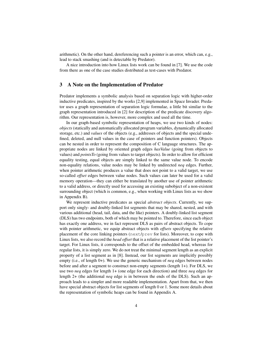arithmetic). On the other hand, dereferencing such a pointer is an error, which can, e.g., lead to stack smashing (and is detectable by Predator).

A nice introduction into how Linux lists work can be found in [\[7\]](#page-8-8). We use the code from there as one of the case studies distributed as test-cases with Predator.

## <span id="page-5-0"></span>3 A Note on the Implementation of Predator

Predator implements a symbolic analysis based on separation logic with higher-order inductive predicates, inspired by the works [\[2,](#page-8-0)[9\]](#page-8-2) implemented in Space Invader. Predator uses a graph representation of separation logic formulae, a little bit similar to the graph representation introduced in [\[2\]](#page-8-0) for description of the predicate discovery algorithm. Our representation is, however, more complex and used all the time.

In our graph-based symbolic representation of heaps, we use two kinds of nodes: *objects* (statically and automatically allocated program variables, dynamically allocated storage, etc.) and *values* of the objects (e.g., addresses of objects and the special undefined, deleted, and null values in the case of pointers and function pointers). Objects can be nested in order to represent the composition of C language structures. The appropriate nodes are linked by oriented graph edges *hasValue* (going from objects to values) and *pointsTo* (going from values to target objects). In order to allow for efficient equality testing, equal objects are simply linked to the same value node. To encode non-equality relations, value nodes may be linked by undirected *neq* edges. Further, when pointer arithmetic produces a value that does not point to a valid target, we use so-called *offset* edges between value nodes. Such values can later be used for a valid memory operation—they can either be translated by another use of pointer arithmetic to a valid address, or directly used for accessing an existing subobject of a non-existent surrounding object (which is common, e.g., when working with Linux lists as we show in Appendix [B\)](#page-16-0).

We represent inductive predicates as special *abstract objects*. Currently, we support only singly- and doubly-linked list segments that may be shared, nested, and with various additional (head, tail, data, and the like) pointers. A doubly-linked list segment (DLS) has two endpoints, both of which may be pointed to. Therefore, since each object has exactly one address, we in fact represent DLS as pairs of abstract objects. To cope with pointer arithmetic, we equip abstract objects with *offsets* specifying the relative placement of the core linking pointers (next/prev for lists). Moreover, to cope with Linux lists, we also record the *head offset* that is a relative placement of the list pointer's target. For Linux lists, it corresponds to the offset of the embedded head, whereas for regular lists, it is simply zero. We do not treat the minimal segment length as an explicit property of a list segment as in [\[8\]](#page-8-1). Instead, our list segments are implicitly possibly empty (i.e., of length 0+). We use the generic mechanism of *neq* edges between nodes before and after a segment to construct non-empty segments (length 1+). For DLS, we use two *neq* edges for length 1+ (one edge for each direction) and three *neq* edges for length 2+ (the additional *neq* edge is in between the ends of the DLS). Such an approach leads to a simpler and more readable implementation. Apart from that, we then have special abstract objects for list segments of length 0 or 1. Some more details about the representation of symbolic heaps can be found in Appendix [A.](#page-9-0)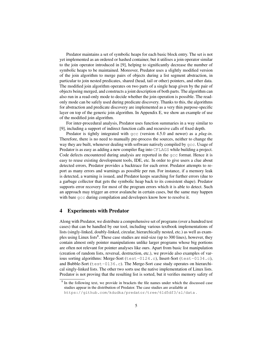Predator maintains a set of symbolic heaps for each basic block entry. The set is not yet implemented as an ordered or hashed container, but it utilises a join operator similar to the join operator introduced in [\[9\]](#page-8-2), helping to significantly decrease the number of symbolic heaps to be maintained. Moreover, Predator uses a slightly modified version of the join algorithm to merge pairs of objects during a list segment abstraction, in particular to join nested predicates, shared (head, tail or other) pointers, and other data. The modified join algorithm operates on two parts of a single heap given by the pair of objects being merged, and constructs a joint description of both parts. The algorithm can also run in a read-only mode to decide whether the join operation is possible. The readonly mode can be safely used during predicate discovery. Thanks to this, the algorithms for abstraction and predicate discovery are implemented as a very thin purpose-specific layer on top of the generic join algorithm. In Appendix [E,](#page-22-0) we show an example of use of the modified join algorithm.

For inter-procedural analysis, Predator uses function summaries in a way similar to [\[9\]](#page-8-2), including a support of indirect function calls and recursive calls of fixed depth.

Predator is tightly integrated with gcc (version 4.5.0 and newer) as a *plug-in*. Therefore, there is no need to manually pre-process the sources, neither to change the way they are built, whenever dealing with software natively compiled by  $\text{qcc}$ . Usage of Predator is as easy as adding a new compiler flag into CFLAGS while building a project. Code defects encountered during analysis are reported in the gcc format. Hence it is easy to reuse existing development tools, IDE, etc. In order to give users a clue about detected errors, Predator provides a backtrace for each error. Predator attempts to report as many errors and warnings as possible per run. For instance, if a memory leak is detected, a warning is issued, and Predator keeps searching for further errors (due to a garbage collector that gets the symbolic heap back to its consistent shape). Predator supports error recovery for most of the program errors which it is able to detect. Such an approach may trigger an error avalanche in certain cases, but the same may happen with bare gcc during compilation and developers know how to resolve it.

## <span id="page-6-1"></span>4 Experiments with Predator

Along with Predator, we distribute a comprehensive set of programs (over a hundred test cases) that can be handled by our tool, including various textbook implementations of lists (singly-linked, doubly-linked, circular, hierarchically nested, etc.) as well as exam-ples using Linux lists<sup>[8](#page-6-0)</sup>. These case studies are mid-size (up to 300 lines), however, they contain almost only pointer manipulations unlike larger programs whose big portions are often not relevant for pointer analyses like ours. Apart from basic list manipulation (creation of random lists, reversal, destruction, etc.), we provide also examples of various sorting algorithms: Merge-Sort (test-0124.c), Insert-Sort (test-0134.c), and Bubble-Sort (test-0136.c). The Merge-Sort case study operates on hierarchical singly-linked lists. The other two sorts use the native implementation of Linux lists. Predator is not proving that the resulting list is sorted, but it verifies memory safety of

<span id="page-6-0"></span><sup>&</sup>lt;sup>8</sup> In the following text, we provide in brackets the file names under which the discussed case studies appear in the distribution of Predator. The case studies are available at <https://github.com/kdudka/predator/tree/61d5df3/sl/data> .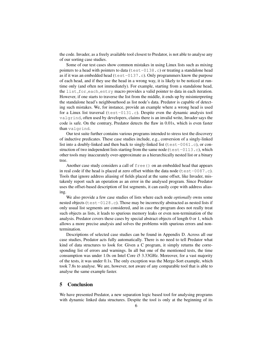the code. Invader, as a freely available tool closest to Predator, is not able to analyse any of our sorting case studies.

Some of our test cases show common mistakes in using Linux lists such as mixing pointers to a head with pointers to data (test-0138.c) or treating a standalone head as if it was an embedded head (test-0137.c). Only programmers know the purpose of each head, and if they use the head in a wrong way, it is likely to be noticed at runtime only (and often not immediately). For example, starting from a standalone head, the list for each entry macro provides a valid pointer to data in each iteration. However, if one starts to traverse the list from the middle, it ends up by misinterpreting the standalone head's neighbourhood as list node's data. Predator is capable of detecting such mistakes. We, for instance, provide an example where a wrong head is used for a Linux list traversal ( $test-0131$ .c). Despite even the dynamic analysis tool valgrind, often used by developers, claims there is an invalid write, Invader says the code is safe. On the contrary, Predator detects the flaw in 0.01s, which is even faster than valgrind.

Our test suite further contains various programs intended to stress test the discovery of inductive predicates. These case studies include, e.g., conversion of a singly-linked list into a doubly-linked and then back to singly-linked list ( $test-0061.c$ ), or construction of two independent lists starting from the same node ( $test-0113.c$ ), which other tools may inaccurately over-approximate as a hierarchically nested list or a binary tree.

Another case study considers a call of free() on an embedded head that appears in real code if the head is placed at zero offset within the data node ( $test-0087$ .c). Tools that ignore address aliasing of fields placed at the same offset, like Invader, mistakenly report such an operation as an error in the analysed program. Since Predator uses the offset-based description of list segments, it can easily cope with address aliasing.

We also provide a few case studies of lists where each node *optionally* owns some nested objects (test-0128.c). Those may be incorrectly abstracted as nested lists if only usual list segments are considered, and in case the program does not really treat such objects as lists, it leads to spurious memory leaks or even non-termination of the analysis. Predator covers these cases by special abstract objects of length 0 or 1, which allows a more precise analysis and solves the problems with spurious errors and nontermination.

Descriptions of selected case studies can be found in Appendix [D.](#page-21-0) Across all our case studies, Predator acts fully automatically. There is no need to tell Predator what kind of data structures to look for. Given a C program, it simply returns the corresponding list of errors and warnings. In all but one of the mentioned tests, the time consumption was under 1.0s on Intel Core i5 3.33GHz. Moreover, for a vast majority of the tests, it was under 0.1s. The only exception was the Merge-Sort example, which took 7.8s to analyse. We are, however, not aware of any comparable tool that is able to analyse the same example faster.

#### 5 Conclusion

We have presented Predator, a new separation logic based tool for analysing programs with dynamic linked data structures. Despite the tool is only at the beginning of its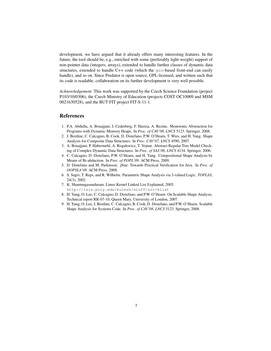development, we have argued that it already offers many interesting features. In the future, the tool should be, e.g., enriched with some (preferably light-weight) support of non-pointer data (integers, arrays), extended to handle further classes of dynamic data structures, extended to handle C++ code (which the gcc-based front-end can easily handle), and so on. Since Predator is open source, GPL-licensed, and written such that its code is readable, collaboration on its further development is very well possible.

*Acknowledgement* This work was supported by the Czech Science Foundation (project P103/10/0306), the Czech Ministry of Education (projects COST OC10009 and MSM 0021630528), and the BUT FIT project FIT-S-11-1.

## References

- <span id="page-8-5"></span>1. P.A. Abdulla, A. Bouajjani, J. Cederberg, F. Haziza, A. Rezine. Monotonic Abstraction for Programs with Dynamic Memory Heaps. In *Proc. of CAV'08*, *LNCS* 5123. Springer, 2008.
- <span id="page-8-0"></span>2. J. Berdine, C. Calcagno, B. Cook, D. Distefano, P.W. O'Hearn, T. Wies, and H. Yang. Shape Analysis for Composite Data Structures. In *Proc. CAV'07*, *LNCS* 4590, 2007.
- <span id="page-8-4"></span>3. A. Bouajjani, P. Habermehl, A. Rogalewicz, T. Vojnar. Abstract Regular Tree Model Checking of Complex Dynamic Data Structures. In *Proc. of SAS'06*, *LNCS* 4134. Springer, 2006.
- <span id="page-8-7"></span>4. C. Calcagno, D. Distefano, P.W. O'Hearn, and H. Yang. Compositional Shape Analysis by Means of Bi-abduction. In *Proc. of POPL'09*. ACM Press, 2009.
- <span id="page-8-6"></span>5. D. Distefano and M. Parkinson. jStar: Towards Practical Verification for Java. In *Proc. of OOPSLA'08*. ACM Press, 2008.
- <span id="page-8-3"></span>6. S. Sagiv, T. Reps, and R. Wilhelm. Parametric Shape Analysis via 3-valued Logic. *TOPLAS*, 24(3), 2002.
- <span id="page-8-8"></span>7. K. Shanmugasundaram. Linux Kernel Linked List Explained, 2005. http://isis.poly.edu/kulesh/stuff/src/klist
- <span id="page-8-1"></span>8. H. Yang, O. Lee, C. Calcagno, D. Distefano, and P.W. O'Hearn. On Scalable Shape Analysis. Technical report RR-07-10, Queen Mary, University of London, 2007.
- <span id="page-8-2"></span>9. H. Yang, O. Lee, J. Berdine, C. Calcagno, B. Cook, D. Distefano, and P.W. O'Hearn. Scalable Shape Analysis for Systems Code. In *Proc. of CAV'08*, *LNCS* 5123. Springer, 2008.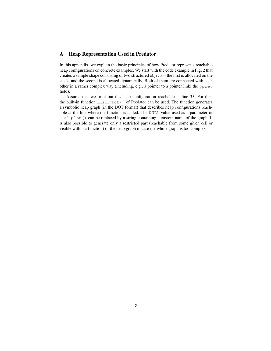## <span id="page-9-0"></span>A Heap Representation Used in Predator

In this appendix, we explain the basic principles of how Predator represents reachable heap configurations on concrete examples. We start with the code example in Fig. [2](#page-10-0) that creates a sample shape consisting of two structured objects—the first is allocated on the stack, and the second is allocated dynamically. Both of them are connected with each other in a rather complex way (including, e.g., a pointer to a pointer link: the pprev field).

Assume that we print out the heap configuration reachable at line 35. For this, the built-in function  $\text{...s1.plot}$  () of Predator can be used. The function generates a symbolic heap graph (in the DOT format) that describes heap configurations reachable at the line where the function is called. The NULL value used as a parameter of  $s_{\text{sub}}$  =  $s_{\text{sub}}$  () can be replaced by a string containing a custom name of the graph. It is also possible to generate only a restricted part (reachable from some given cell or visible within a function) of the heap graph in case the whole graph is too complex.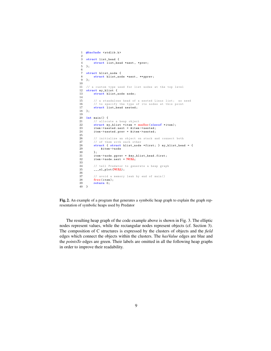```
1 #include <stdlib.h>
 \Omega3 struct list_head {<br>4 struct list hea
          struct list_head *next, *prev;
 5 };
 6
 7 struct hlist_node {<br>8 struct hlist nod
          struct hlist_node *next, **pprev;
 9 };
10
11 // a custom type used for list nodes at the top level
12 struct my_hlist {
13 struct hlist_node node;
\begin{array}{c} 14 \\ 15 \end{array}15 // a standalone head of a nested Linux list; no need<br>16 // to specify the type of its nodes at this point
16 // to specify the type of its nodes at this point<br>17 struct list_head nested;
           struct list_head nested;
18 };
19
20 int main () {<br>21 // allocal
21 \frac{1}{22} // allocate a heap object<br>22 struct my hlist *item = m
22 struct my_hlist *item = \text{malloc}( \text{size of } \text{*item});<br>
23 item ->nested.next = \text{\&item->nested}:23 item -> nested . next = & item -> nested ;
24 item -> nested . prev = & item -> nested ;
\frac{25}{26}26 \frac{1}{27} // initialize an object on stack and connect both 27 // of them with each other
27 // of them with each other<br>28 struct { struct hlist_node
28 struct { struct hlist_node * first; } my_hlist_head = {<br>29 \& item->node
29 % item ->node<br>30 };
\begin{array}{ccc} 30 & & \text{ } \\ 31 & & \text{ } \\ 31 & & \text{ } \end{array}31 item -> node. pprev = \&my_hlist_head. first;<br>32 item -> node. next = \overline{NULL};
           item ->node.next = NULL;
33
34 // tell Predator to generate a heap graph<br>35 ___sl_plot(NULL);
           ---s1-plot (NULL);
36
37 // avoid a memory leak by end of main ()<br>38 free (item):
           free (item);
39 return 0;
40 }
```
<span id="page-10-0"></span>Fig. 2. An example of a program that generates a symbolic heap graph to explain the graph representation of symbolic heaps used by Predator

The resulting heap graph of the code example above is shown in Fig. [3.](#page-11-0) The elliptic nodes represent values, while the rectangular nodes represent objects (cf. Section [3\)](#page-5-0). The composition of C structures is expressed by the clusters of objects and the *field* edges which connect the objects within the clusters. The *hasValue* edges are blue and the *pointsTo* edges are green. Their labels are omitted in all the following heap graphs in order to improve their readability.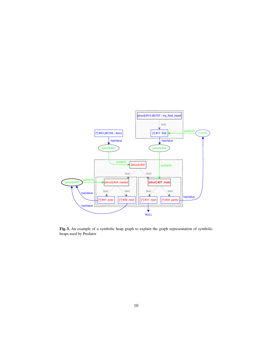

<span id="page-11-0"></span>Fig. 3. An example of a symbolic heap graph to explain the graph representation of symbolic heaps used by Predator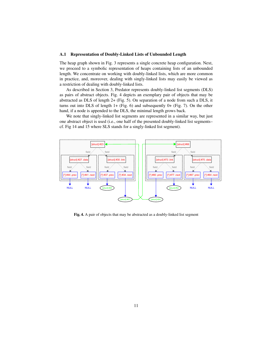#### A.1 Representation of Doubly-Linked Lists of Unbounded Length

The heap graph shown in Fig. [3](#page-11-0) represents a single concrete heap configuration. Next, we proceed to a symbolic representation of heaps containing lists of an unbounded length. We concentrate on working with doubly-linked lists, which are more common in practice, and, moreover, dealing with singly-linked lists may easily be viewed as a restriction of dealing with doubly-linked lists.

As described in Section [3,](#page-5-0) Predator represents doubly-linked list segments (DLS) as pairs of abstract objects. Fig. [4](#page-12-0) depicts an exemplary pair of objects that may be abstracted as DLS of length 2+ (Fig. [5\)](#page-13-0). On separation of a node from such a DLS, it turns out into DLS of length 1+ (Fig. [6\)](#page-13-1) and subsequently 0+ (Fig. [7\)](#page-14-0). On the other hand, if a node is appended to the DLS, the minimal length grows back.

We note that singly-linked list segments are represented in a similar way, but just one abstract object is used (i.e., one half of the presented doubly-linked list segments– cf. Fig [14](#page-23-0) and [15](#page-24-0) where SLS stands for a singly-linked list segment).



<span id="page-12-0"></span>Fig. 4. A pair of objects that may be abstracted as a doubly-linked list segment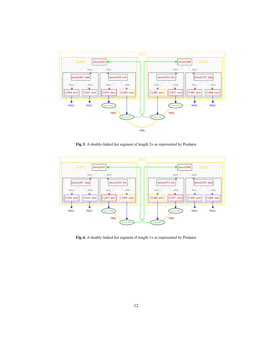

<span id="page-13-0"></span>Fig. 5. A doubly-linked list segment of length 2+ as represented by Predator



<span id="page-13-1"></span>Fig. 6. A doubly-linked list segment of length 1+ as represented by Predator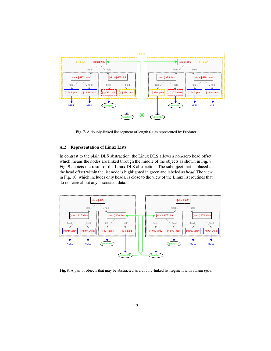

<span id="page-14-0"></span>Fig. 7. A doubly-linked list segment of length 0+ as represented by Predator

#### A.2 Representation of Linux Lists

In contrast to the plain DLS abstraction, the Linux DLS allows a non-zero head offset, which means the nodes are linked through the middle of the objects as shown in Fig. [8.](#page-14-1) Fig. [9](#page-15-0) depicts the result of the Linux DLS abstraction. The subobject that is placed at the head offset within the list node is highlighted in green and labeled as *head*. The view in Fig. [10,](#page-15-1) which includes only heads, is close to the view of the Linux list routines that do not care about any associated data.



<span id="page-14-1"></span>Fig. 8. A pair of objects that may be abstracted as a doubly-linked list segment with a *head offset*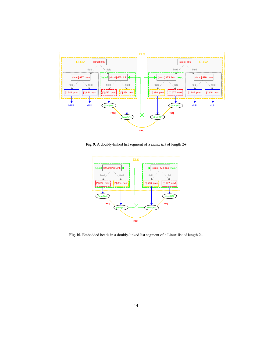

<span id="page-15-0"></span>Fig. 9. A doubly-linked list segment of a *Linux list* of length 2+



<span id="page-15-1"></span>Fig. 10. Embedded heads in a doubly-linked list segment of a Linux list of length 2+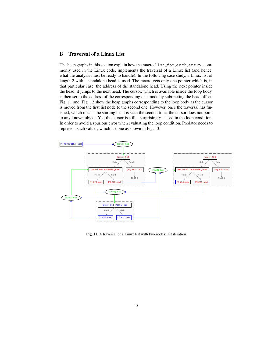## <span id="page-16-0"></span>B Traversal of a Linux List

The heap graphs in this section explain how the macro list for each entry, commonly used in the Linux code, implements the traversal of a Linux list (and hence, what the analysis must be ready to handle). In the following case study, a Linux list of length 2 with a standalone head is used. The macro gets only one pointer which is, in that particular case, the address of the standalone head. Using the next pointer inside the head, it jumps to the next head. The cursor, which is available inside the loop body, is then set to the address of the corresponding data node by subtracting the head offset. Fig. [11](#page-16-1) and Fig. [12](#page-17-0) show the heap graphs corresponding to the loop body as the cursor is moved from the first list node to the second one. However, once the traversal has finished, which means the starting head is seen the second time, the cursor does not point to any known object. Yet, the cursor is still—surprisingly—used in the loop condition. In order to avoid a spurious error when evaluating the loop condition, Predator needs to represent such values, which is done as shown in Fig. [13.](#page-17-1)



<span id="page-16-1"></span>Fig. 11. A traversal of a Linux list with two nodes: 1st iteration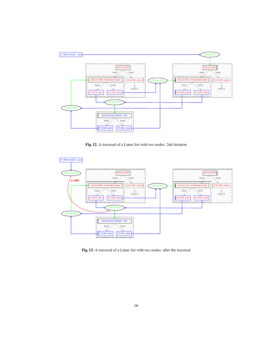

<span id="page-17-0"></span>Fig. 12. A traversal of a Linux list with two nodes: 2nd iteration



<span id="page-17-1"></span>Fig. 13. A traversal of a Linux list with two nodes: after the traversal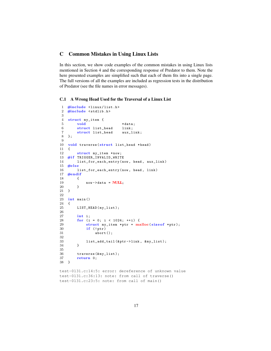## <span id="page-18-0"></span>C Common Mistakes in Using Linux Lists

In this section, we show code examples of the common mistakes in using Linux lists mentioned in Section [4](#page-6-1) and the corresponding response of Predator to them. Note the here presented examples are simplified such that each of them fits into a single page. The full versions of all the examples are included as regression tests in the distribution of Predator (see the file names in error messages).

#### C.1 A Wrong Head Used for the Traversal of a Linux List

```
1 #include <linux/list.h>
 2 #include \leqstdlib.h>
 \frac{3}{4}4 struct my_item {
                                       * data;
 6 struct list_head link;<br>7 struct list_head aux_link;
 7 struct list_head 8 };
    8 };
9
10 void traverse (struct list_head *head)
\begin{array}{cc} 11 & \texttt{\textcolor{red}{\{}}}\\ 12 & \end{array}struct my_item *now;
13 #if TRIGGER_INVALID_WRITE
14 list_for_each_entry (now, head, aux_link)
15 \#else16 list_for_each_entry (now, head, link)
17 #endif
\begin{array}{ccc} 18 & \quad & \{ \\ 19 & \quad & \end{array}nov - > data = NULL;\begin{array}{ccc} 20 & & \rightarrow \\ 21 & \rightarrow & \end{array}21 }
22
23 int main ()
\frac{24}{25} {
          LIST_HEAD (my_list);
26
27 int i;<br>28 for (i)
28 for (i = 0; i < 1024; ++i) {<br>29 struct my_item *ptr = mistruct my_item *ptr = malloc(size of *ptr);
30 if (!ptr)
31 abort ();
\frac{32}{33}list_add_tail (& ptr -> link, & my_list);
3435
36 traverse (\text{kmy\_list});<br>37 return 0;
37 return 0;
   38 }
```

```
test-0131.c:14:5: error: dereference of unknown value
test-0131.c:36:13: note: from call of traverse()
test-0131.c:23:5: note: from call of main()
```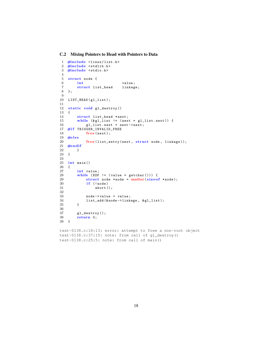#### C.2 Mixing Pointers to Head with Pointers to Data

```
1 #include <linux/list.h>
 2 #include <stdlib.h>
 3 \#include \times stdio.h>
 4
 5 struct node {<br>6 int
 6 int value;<br>7 struct list_head linkage;
 7 struct list_head 8 };
   8 };
9
10 LIST_HEAD (gl_list);
11
12 static void gl_destroy()
13 {
14 struct list_head *next;
15 while (& gl_list != ( next = gl_list . next )) {
16 gl_list.next = next->next;
17 #if TRIGGER_INVALID_FREE
18 free (next);
19 \#else20 free (list_entry (next, struct node, linkage));
21 \#endif
22 }
23 }
24
25 int main ()
\frac{26}{27} {
27 int value;<br>28 while (EOF
28 while (EOF != (value = getchar ())) {<br>29 struct node *node = malloc(sizeo)
29 struct node *node = \text{malloc}( \text{size of } \text{*node});<br>30 if (!node)
             if (!node)
31 abort ();
32
33 node -> value = value ;
34 list_add (& node -> linkage, & gl_list);<br>35 }
35\,\frac{36}{37}37 gl_destroy();<br>38 return 0;
        return 0;
39 }
```
test-0138.c:18:13: error: attempt to free a non-root object test-0138.c:37:15: note: from call of gl\_destroy() test-0138.c:25:5: note: from call of main()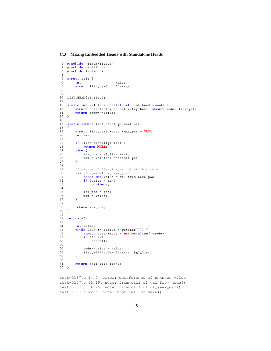## C.3 Mixing Embedded Heads with Standalone Heads

```
1 \#include \leq \frac{1}{2} \#include \leq \leq \frac{1}{2} \frac{1}{2} \frac{1}{2} \frac{1}{2} \frac{1}{2} \frac{1}{2} \frac{1}{2} \frac{1}{2} \frac{1}{2} \frac{1}{2} \frac{1}{2} \frac{1}{2} \frac{1}{2} \frac{1}{2} \frac{1}{2} \frac{1}{2} \frac{1}{2} \frac{1}{2}#include <stdlib.h>
 3 #include <stdio.h>
 4
 \begin{array}{cc} 5 & \text{struct node} \\ 6 & \text{int} \end{array}int value:
 7 struct list_head linkage;<br>8 };
     8 };
 9
10 LIST_HEAD (gl_list);
\begin{array}{c} 11 \\ 12 \end{array}12 static int val_from_node (struct list_head *head) {<br>13 struct node *entry = list_entry(head, struct n
13 struct node *entry = list_entry (head, struct node, linkage);<br>14 return entry->value:
             return entry->value;
15 }
\frac{16}{17}static struct list_head* gl_seek_max()
\begin{array}{cc} 18 & 5 \\ 19 & 5 \end{array}struct list_head *pos, *max_pos = NULL;
20 int max ;
\begin{array}{c} 21 \\ 22 \end{array}22 if (list_empty(&gl_list))<br>23 return NULL;
23 return NULL;<br>24 else {
24 else {<br>25 max
25 max_pos = gl_list.next;<br>26 max = val_from_node(max
             max = val\_from\_node(max\_pos);}
27 }
28
29 // misuse of list_for_each() at this point<br>30 list_for_each(pos, max_pos) {
30 list_for_each(pos, max_pos) {<br>31 const int value = val_from
31 const int value = val_from_node(pos);<br>32 if (value < max)
\frac{32}{33} if (value \leq max)<br>\frac{1}{33} continue:
                           continue;
\frac{34}{35}35 max_pos = pos;<br>36 max = value;
             max = value;37 }
\frac{38}{39}return max_pos;
40 }
41
42 int main ()
\begin{array}{cc} 43 & \texttt{\{}} \\ 44 & \end{array}44 int value;<br>45 while (EOF
             while (EOF != (value = getchar())) {
46 struct node *node = \text{malloc}( \text{size of } \text{*node});<br>47 if (!node)
47 if (!node)<br>48 abort (
                           abort();
49
50 node -> value = value ;
51 list_add (& node -> linkage, & gl_list);<br>52 }
52\,53
54 return !! gl_seek_max ();
55 }
```
test-0137.c:14:5: error: dereference of unknown value test-0137.c:31:19: note: from call of val\_from\_node() test-0137.c:54:25: note: from call of gl\_seek\_max() test-0137.c:42:5: note: from call of main()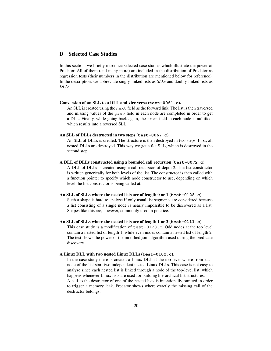## <span id="page-21-0"></span>D Selected Case Studies

In this section, we briefly introduce selected case studies which illustrate the power of Predator. All of them (and many more) are included in the distribution of Predator as regression tests (their numbers in the distribution are mentioned below for reference). In the description, we abbreviate singly-linked lists as *SLLs* and doubly-linked lists as *DLLs*.

#### Conversion of an SLL to a DLL and vice versa (**test-0061.c**).

An SLL is created using the next field as the forward link. The list is then traversed and missing values of the prev field in each node are completed in order to get a DLL. Finally, while going back again, the next field in each node is nullified, which results into a reversed SLL.

#### An SLL of DLLs destructed in two steps (**test-0067.c**).

An SLL of DLLs is created. The structure is then destroyed in two steps. First, all nested DLLs are destroyed. This way we get a flat SLL, which is destroyed in the second step.

#### A DLL of DLLs constructed using a bounded call recursion (**test-0072.c**).

A DLL of DLLs is created using a call recursion of depth 2. The list constructor is written generically for both levels of the list. The constructor is then called with a function pointer to specify which node constructor to use, depending on which level the list constructor is being called at.

## An SLL of SLLs where the nested lists are of length 0 or 1 (**test-0128.c**).

Such a shape is hard to analyse if only usual list segments are considered because a list consisting of a single node is nearly impossible to be discovered as a list. Shapes like this are, however, commonly used in practice.

#### An SLL of SLLs where the nested lists are of length 1 or 2 (**test-0111.c**).

This case study is a modification of test-0128.c. Odd nodes at the top level contain a nested list of length 1, while even nodes contain a nested list of length 2. The test shows the power of the modified join algorithm used during the predicate discovery.

#### A Linux DLL with two nested Linux DLLs (**test-0102.c**).

In the case study there is created a Linux DLL at the top-level where from each node of the list start two independent nested Linux DLLs. This case is not easy to analyse since each nested list is linked through a node of the top-level list, which happens whenever Linux lists are used for building hierarchical list structures.

A call to the destructor of one of the nested lists is intentionally omitted in order to trigger a memory leak. Predator shows where exactly the missing call of the destructor belongs.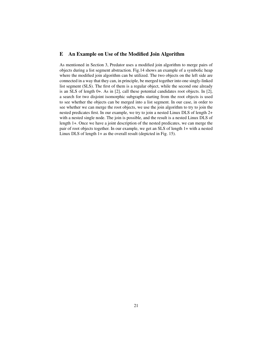## <span id="page-22-0"></span>E An Example on Use of the Modified Join Algorithm

As mentioned in Section [3,](#page-5-0) Predator uses a modified join algorithm to merge pairs of objects during a list segment abstraction. Fig[.14](#page-23-0) shows an example of a symbolic heap where the modified join algorithm can be utilized. The two objects on the left side are connected in a way that they can, in principle, be merged together into one singly-linked list segment (SLS). The first of them is a regular object, while the second one already is an SLS of length 0+. As in [\[2\]](#page-8-0), call these potential candidates root objects. In [\[2\]](#page-8-0), a search for two disjoint isomorphic subgraphs starting from the root objects is used to see whether the objects can be merged into a list segment. In our case, in order to see whether we can merge the root objects, we use the join algorithm to try to join the nested predicates first. In our example, we try to join a nested Linux DLS of length 2+ with a nested single node. The join is possible, and the result is a nested Linux DLS of length 1+. Once we have a joint description of the nested predicates, we can merge the pair of root objects together. In our example, we get an SLS of length 1+ with a nested Linux DLS of length 1+ as the overall result (depicted in Fig. [15\)](#page-24-0).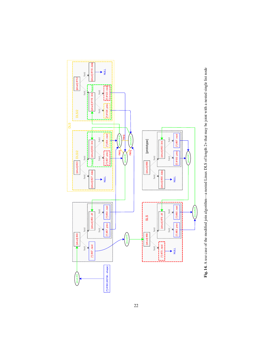<span id="page-23-0"></span>

Fig. 14. A use case of the modified join algorithm—a nested Linux DLS of length 2+ that may be joint with a nested single list node Fig. 14. A use case of the modified join algorithm—a nested Linux DLS of length 2+ that may be joint with a nested single list node